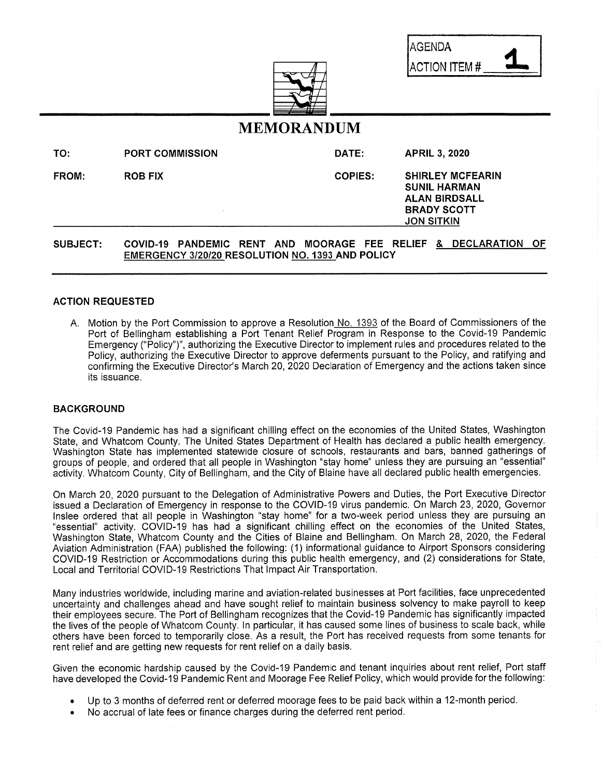| AGENDA               |  |
|----------------------|--|
| <b>ACTION ITEM #</b> |  |



# MEMORANDUM

| TO:             | <b>PORT COMMISSION</b> |                                        |  |  | DATE:          |                                                                                                                   | <b>APRIL 3, 2020</b> |  |                      |     |  |
|-----------------|------------------------|----------------------------------------|--|--|----------------|-------------------------------------------------------------------------------------------------------------------|----------------------|--|----------------------|-----|--|
| <b>FROM:</b>    | <b>ROB FIX</b>         |                                        |  |  | <b>COPIES:</b> | <b>SHIRLEY MCFEARIN</b><br><b>SUNIL HARMAN</b><br><b>ALAN BIRDSALL</b><br><b>BRADY SCOTT</b><br><b>JON SITKIN</b> |                      |  |                      |     |  |
| <b>SUBJECT:</b> |                        | COVID-19 PANDEMIC RENT AND MOORAGE FEE |  |  |                |                                                                                                                   |                      |  | RELIEF & DECLARATION | -OF |  |

EMERGENCY 3/20/20 RESOLUTION NO. 1393 AND POLICY

#### ACTION REQUESTED

A. Motion by the Port Commission to approve a Resolution No. 1393 of the Board of Commissioners of the Port of Bellingham establishing a Port Tenant Relief Program in Response to the Covid-19 Pandemic Emergency ("Policy")", authorizing the Executive Director to implement rules and procedures related to the Policy, authorizing the Executive Director to approve deferments pursuant to the Policy, and ratifying and confirming the Executive Director's March 20, 2020 Declaration of Emergency and the actions taken since its issuance.

#### BACKGROUND

The Covid-19 Pandemic has had a significant chilling effect on the economies of the United States, Washington State, and Whatcom County. The United States Department of Health has declared a public health emergency. Washington State has implemented statewide closure of schools, restaurants and bars, banned gatherings of groups of people, and ordered that all people in Washington "stay home" unless they are pursuing an "essential" activity. Whatcom County, City of Bellingham, and the City of Blaine have all declared public health emergencies.

On March 20, 2020 pursuant to the Delegation of Administrative Powers and Duties, the Port Executive Director issued a Declaration of Emergency in response to the COVID-19 virus pandemic. On March 23, 2020, Governor Inslee ordered that all people in Washington "stay home" for a two-week period unless they are pursuing an "essential" activity. COVID-19 has had a significant chilling effect on the economies of the United States, Washington State, Whatcom County and the Cities of Blaine and Bellingham. On March 28, 2020, the Federal Aviation Administration (FAA) published the following: (1) informational guidance to Airport Sponsors considering COVID-19 Restriction or Accommodations during this public health emergency, and (2) considerations for State, Local and Territorial COVID-19 Restrictions That Impact Air Transportation.

Many industries worldwide, including marine and aviation-related businesses at Port facilities, face unprecedented uncertainty and challenges ahead and have sought relief to maintain business solvency to make payroll to keep their employees secure. The Port of Bellingham recognizes that the Covid-19 Pandemic has significantly impacted the lives of the people ofWhatcom County. In particular, it has caused some lines of business to scale back, while others have been forced to temporarily close. As a result, the Port has received requests from some tenants for rent relief and are getting new requests for rent relief on a daily basis.

Given the economic hardship caused by the Covid-19 Pandemic and tenant inquiries about rent relief, Port staff have developed the Covid-19 Pandemic Rent and Moorage Fee Relief Policy, which would provide for the following:

- Up to 3 months of deferred rent or deferred moorage fees to be paid back within a 12-month period.
- No accrual of late fees or finance charges during the deferred rent period.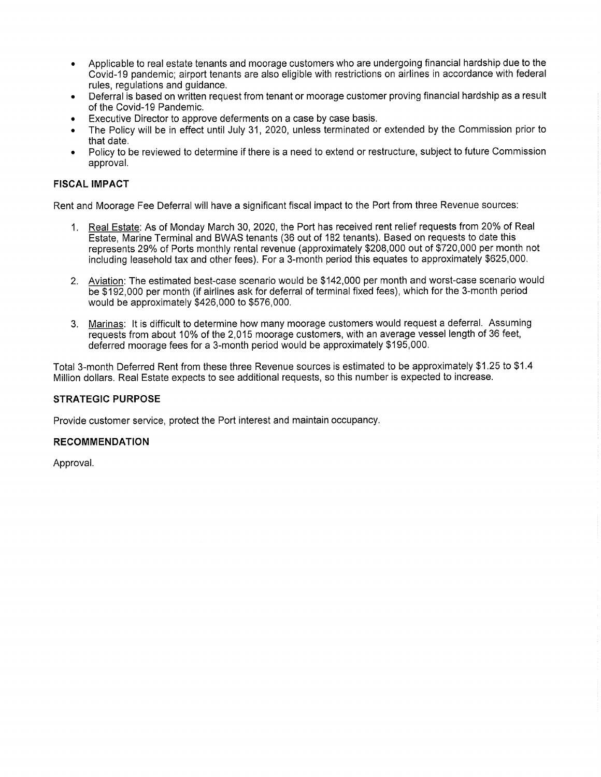- Applicable to real estate tenants and moorage customers who are undergoing financial hardship due to the Covid-19 pandemic; airport tenants are also eligible with restrictions on airlines in accordance with federal rules, regulations and guidance.
- Deferral is based on written request from tenant or moorage customer proving financial hardship as a result of the Covid-19 Pandemic.
- Executive Director to approve deferments on a case by case basis.
- The Policy will be in effect until July 31, 2020, unless terminated or extended by the Commission prior to that date.
- Policy to be reviewed to determine if there is a need to extend or restructure, subject to future Commission approval.

#### FISCAL IMPACT

Rent and Moorage Fee Deferral will have a significant fiscal impact to the Port from three Revenue sources:

- 1. Real Estate: As of Monday March 30, 2020, the Port has received rent relief requests from 20% of Real Estate, Marine Terminal and BWAS tenants (36 out of 182 tenants). Based on requests to date this represents 29% of Ports monthly rental revenue (approximately \$208,000 out of \$720,000 per month not including leasehold tax and other fees). For a 3-month period this equates to approximately \$625,000.
- 2. Aviation: The estimated best-case scenario would be \$142,000 per month and worst-case scenario would be \$192,000 per month (if airlines ask for deferral of terminal fixed fees), which for the 3-month period would be approximately \$426,000 to \$576,000.
- 3. Marinas: It is difficult to determine how many moorage customers would request a deferral. Assuming requests from about 10% of the 2,015 moorage customers, with an average vessel length of 36 feet, deferred moorage fees for a 3-month period would be approximately \$195,000.

Total 3-month Deferred Rent from these three Revenue sources is estimated to be approximately \$1,25 to \$1.4 Million dollars. Real Estate expects to see additional requests, so this number is expected to increase.

#### STRATEGIC PURPOSE

Provide customer service, protect the Port interest and maintain occupancy.

#### RECOMMENDATION

Approval.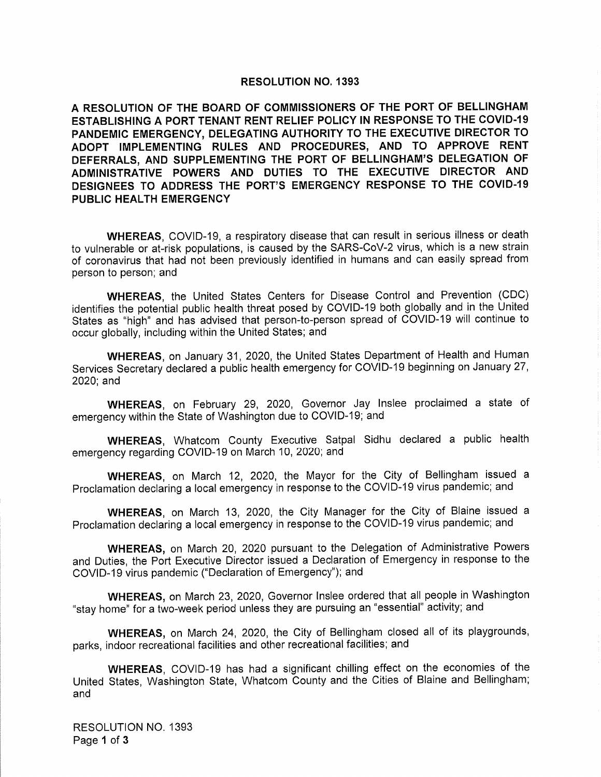#### RESOLUTION NO. 1393

A RESOLUTION OF THE BOARD OF COMMISSIONERS OF THE PORT OF BELLINGHAM ESTABLISHING A PORT TENANT RENT RELIEF POLICY IN RESPONSE TO THE COVID-19 PANDEMIC EMERGENCY, DELEGATING AUTHORITY TO THE EXECUTIVE DIRECTOR TO ADOPT IMPLEMENTING RULES AND PROCEDURES, AND TO APPROVE RENT DEFERRALS, AND SUPPLEMENTING THE PORT OF BELLINGHAM'S DELEGATION OF ADMINISTRATIVE POWERS AND DUTIES TO THE EXECUTIVE DIRECTOR AND DESIGNEES TO ADDRESS THE PORT'S EMERGENCY RESPONSE TO THE COVID-19 PUBLIC HEALTH EMERGENCY

WHEREAS, COVID-19, a respiratory disease that can result in serious illness or death to vulnerable or at-risk populations, is caused by the SARS-CoV-2 virus, which is a new strain of coronavirus that had not been previously identified in humans and can easily spread from person to person; and

WHEREAS, the United States Centers for Disease Control and Prevention (CDC) identifies the potential public health threat posed by COVID-19 both globally and in the United States as "high" and has advised that person-to-person spread of COVID-19 will continue to occur globally, including within the United States; and

WHEREAS, on January 31, 2020, the United States Department of Health and Human Services Secretary declared a public health emergency for COVID-19 beginning on January 27, 2020;and

WHEREAS, on February 29, 2020, Governor Jay Inslee proclaimed a state of emergency within the State of Washington due to COVID-19; and

WHEREAS, Whatcom County Executive Satpal Sidhu declared a public health emergency regarding COVID-19 on March 10, 2020; and

WHEREAS, on March 12, 2020, the Mayor for the City of Bellingham issued a Proclamation declaring a local emergency in response to the COVID-19 virus pandemic; and

WHEREAS, on March 13, 2020, the City Manager for the City of Blaine issued a Proclamation declaring a local emergency in response to the COVID-19 virus pandemic; and

WHEREAS, on March 20, 2020 pursuant to the Delegation of Administrative Powers and Duties, the Port Executive Director issued a Declaration of Emergency in response to the COVID-19 virus pandemic ("Declaration of Emergency"); and

WHEREAS, on March 23, 2020, Governor Inslee ordered that all people in Washington "stay home" for a two-week period unless they are pursuing an "essential" activity; and

WHEREAS, on March 24, 2020, the City of Bellingham closed all of its playgrounds, parks, indoor recreational facilities and other recreational facilities; and

WHEREAS, COVID-19 has had a significant chilling effect on the economies of the United States, Washington State, Whatcom County and the Cities of Blaine and Bellingham; and

RESOLUTION NO. 1393 Page 1 of 3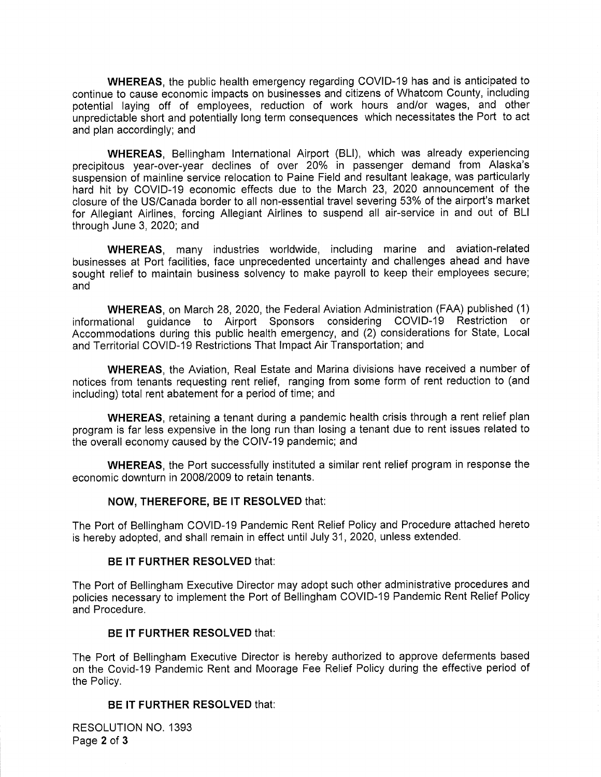WHEREAS, the public health emergency regarding COVID-19 has and is anticipated to continue to cause economic impacts on businesses and citizens of Whatcom County, including potential laying off of employees, reduction of work hours and/or wages, and other unpredictable short and potentially long term consequences which necessitates the Port to act and plan accordingly; and

WHEREAS, Bellingham International Airport (BLI), which was already experiencing precipitous year-over-year declines of over 20% in passenger demand from Alaska's suspension of mainline service relocation to Paine Field and resultant leakage, was particularly hard hit by COVID-19 economic effects due to the March 23, 2020 announcement of the closure of the US/Canada border to all non-essential travel severing 53% of the airport's market for Allegiant Airlines, forcing Allegiant Airlines to suspend all air-service in and out of BLI through June 3, 2020; and

WHEREAS, many industries worldwide, including marine and aviation-related businesses at Port facilities, face unprecedented uncertainty and challenges ahead and have sought relief to maintain business solvency to make payroll to keep their employees secure; and

WHEREAS, on March 28, 2020, the Federal Aviation Administration (FAA) published (1) informational guidance to Airport Sponsors considering COVID-19 Restriction or Accommodations during this public health emergency, and (2) considerations for State, Local and Territorial COVID-19 Restrictions That Impact Air Transportation; and

WHEREAS, the Aviation, Real Estate and Marina divisions have received a number of notices from tenants requesting rent relief, ranging from some form of rent reduction to (and including) total rent abatement for a period of time; and

WHEREAS, retaining a tenant during a pandemic health crisis through a rent relief plan program is far less expensive in the long run than losing a tenant due to rent issues related to the overall economy caused by the COIV-19 pandemic; and

WHEREAS, the Port successfully instituted a similar rent relief program in response the economic downturn in 2008/2009 to retain tenants.

## NOW, THEREFORE, BE IT RESOLVED that:

The Port of Bellingham COVID-19 Pandemic Rent Relief Policy and Procedure attached hereto is hereby adopted, and shall remain in effect until July 31, 2020, unless extended.

#### BE IT FURTHER RESOLVED that:

The Port of Bellingham Executive Director may adopt such other administrative procedures and policies necessary to implement the Port of Bellingham COVID-19 Pandemic Rent Relief Policy and Procedure.

#### BE IT FURTHER RESOLVED that:

The Port of Bellingham Executive Director is hereby authorized to approve deferments based on the Covid-19 Pandemic Rent and Moorage Fee Relief Policy during the effective period of the Policy.

## BE IT FURTHER RESOLVED that:

RESOLUTION NO. 1393 Page 2 of 3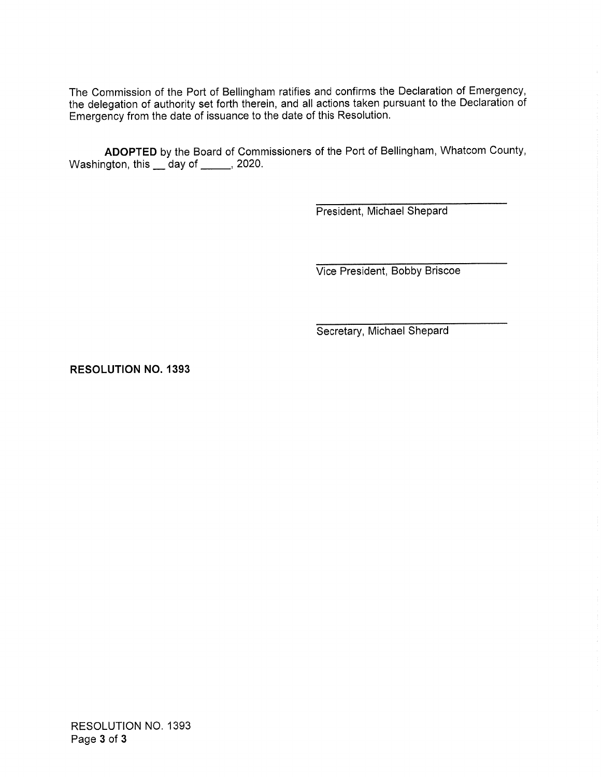The Commission of the Port of Bellingham ratifies and confirms the Declaration of Emergency, he delegation of authority set forth therein, and all actions taken pursuant to the Declaration of Emergency from the date of issuance to the date of this Resolution.

ADOPTED by the Board of Commissioners of the Port of Bellingham, Whatcom County, Washington, this  $\_\$  day of  $\_\_\_\$  2020.

President, Michael Shepard

Vice President, Bobby Briscoe

Secretary, Michael Shepard

RESOLUTION NO. 1393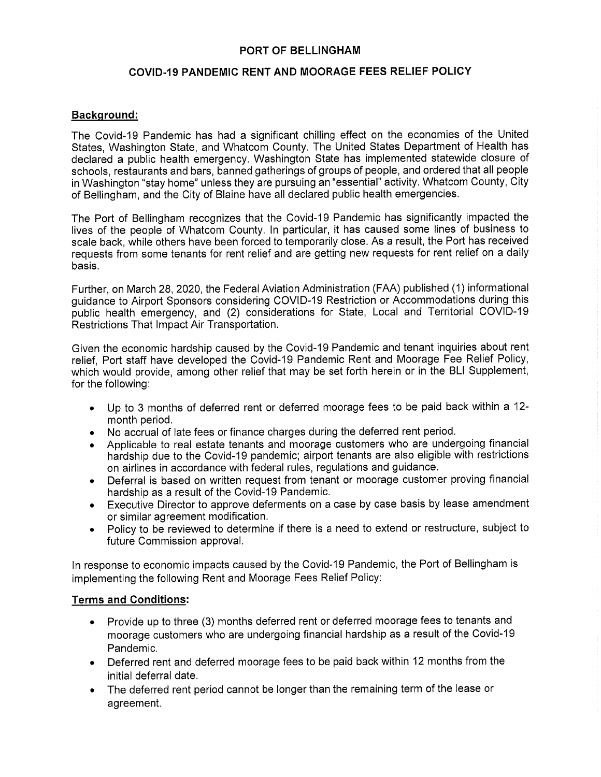## PORT OF BELLINGHAM

## COVID-19 PANDEMIC RENT AND MOORAGE FEES RELIEF POLICY

## Background:

The Covid-19 Pandemic has had a significant chilling effect on the economies of the United States, Washington State, and Whatcom County. The United States Department of Health has declared a public health emergency. Washington State has implemented statewide closure of schools, restaurants and bars, banned gatherings of groups of people, and ordered that all people in Washington "stay home" unless they are pursuing an "essential" activity. Whatcom County, City of Bellingham, and the City of Blaine have all declared public health emergencies.

The Port of Bellingham recognizes that the Covid-19 Pandemic has significantly impacted the lives of the people of Whatcom County. In particular, it has caused some lines of business to scale back, while others have been forced to temporarily close. As a result, the Port has received requests from some tenants for rent relief and are getting new requests for rent relief on a daily basis.

Further, on March 28, 2020, the Federal Aviation Administration (FAA) published (1) informational guidance to Airport Sponsors considering COVID-19 Restriction or Accommodations during this public health emergency, and (2) considerations for State, Local and Territorial COVID-19 Restrictions That Impact Air Transportation.

Given the economic hardship caused by the Covid-19 Pandemic and tenant inquiries about rent relief, Port staff have developed the Covid-19 Pandemic Rent and Moorage Fee Relief Policy, which would provide, among other relief that may be set forth herein or in the BLI Supplement, for the following:

- Up to 3 months of deferred rent or deferred moorage fees to be paid back within a 12 month period.
- No accrual of late fees or finance charges during the deferred rent period.
- Applicable to real estate tenants and moorage customers who are undergoing financial hardship due to the Covid-19 pandemic; airport tenants are also eligible with restrictions on airlines in accordance with federal rules, regulations and guidance,
- Deferral is based on written request from tenant or moorage customer proving financial hardship as a result of the Covid-19 Pandemic.
- Executive Director to approve deferments on a case by case basis by lease amendment or similar agreement modification.
- Policy to be reviewed to determine if there is a need to extend or restructure, subject to future Commission approval.

In response to economic impacts caused by the Covid-19 Pandemic, the Port of Bellingham is implementing the following Rent and Moorage Fees Relief Policy:

## Terms and Conditions:

- Provide up to three (3) months deferred rent or deferred moorage fees to tenants and moorage customers who are undergoing financial hardship as a result of the Covid-19 Pandemic.
- Deferred rent and deferred moorage fees to be paid back within 12 months from the initial deferral date.
- The deferred rent period cannot be longer than the remaining term of the lease or agreement.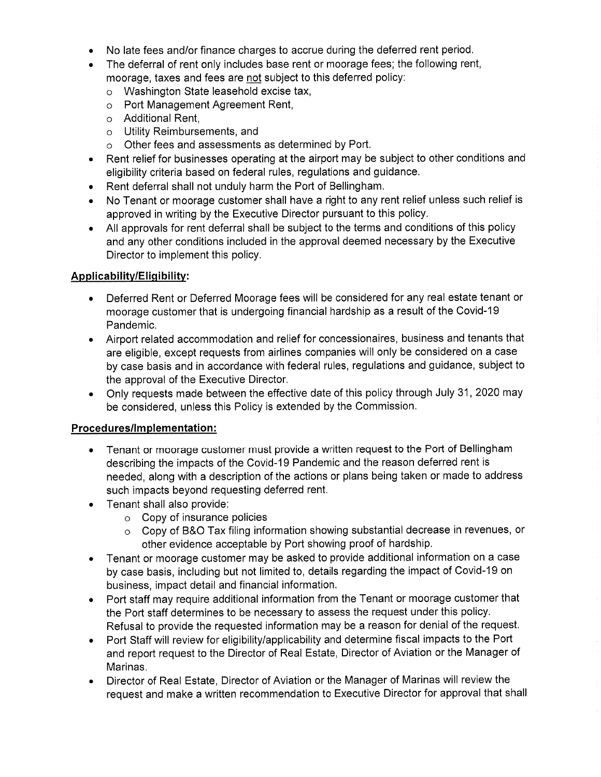- No late fees and/or finance charges to accrue during the deferred rent period.
- The deferral of rent only includes base rent or moorage fees; the following rent, moorage, taxes and fees are not subject to this deferred policy:
	- o Washington State leasehold excise tax,
	- o Port Management Agreement Rent,
	- o Additional Rent,
	- o Utility Reimbursements, and
	- o Other fees and assessments as determined by Port.
- Rent relief for businesses operating at the airport may be subject to other conditions and eligibility criteria based on federal rules, regulations and guidance,
- Rent deferral shall not unduly harm the Port of Bellingham.
- No Tenant or moorage customer shall have a right to any rent relief unless such relief is approved in writing by the Executive Director pursuant to this policy.
- All approvals for rent deferral shall be subject to the terms and conditions of this policy and any other conditions included in the approval deemed necessary by the Executive Director to implement this policy.

# Applicability/Eligibility:

- Deferred Rent or Deferred Moorage fees will be considered for any real estate tenant or moorage customer that is undergoing financial hardship as a result of the Covid-19 Pandemic.
- Airport related accommodation and relief for concessionaires, business and tenants that are eligible, except requests from airlines companies will only be considered on a case by case basis and in accordance with federal rules, regulations and guidance, subject to the approval of the Executive Director.
- Only requests made between the effective date of this policy through July 31, 2020 may be considered, unless this Policy is extended by the Commission.

# Procedures/lmplementation:

- Tenant or moorage customer must provide a written request to the Port of Bellingham describing the impacts of the Covid-19 Pandemic and the reason deferred rent is needed, along with a description of the actions or plans being taken or made to address such impacts beyond requesting deferred rent.
- Tenant shall also provide:
	- o Copy of insurance policies
	- $\circ$  Copy of B&O Tax filing information showing substantial decrease in revenues, or other evidence acceptable by Port showing proof of hardship.
- Tenant or moorage customer may be asked to provide additional information on a case by case basis, including but not limited to, details regarding the impact of Covid-19 on business, impact detail and financial information.
- Port staff may require additional information from the Tenant or moorage customer that the Port staff determines to be necessary to assess the request under this policy. Refusal to provide the requested information may be a reason for denial of the request.
- Port Staff will review for eligibility/applicability and determine fiscal impacts to the Port and report request to the Director of Real Estate, Director of Aviation or the Manager of Marinas.
- Director of Real Estate, Director of Aviation or the Manager of Marinas will review the request and make a written recommendation to Executive Director for approval that shall